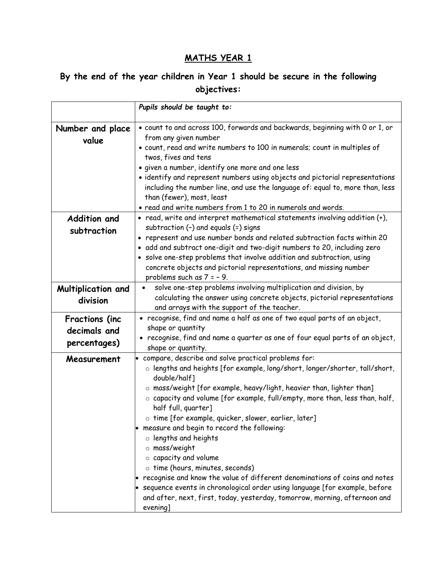## **MATHS YEAR 1**

## **By the end of the year children in Year 1 should be secure in the following objectives:**

|                                                       | Pupils should be taught to:                                                                                                                                                                                                                                                                                                                                                                                                                                                                                                                                                                                                                                                                                                                                                                                                        |
|-------------------------------------------------------|------------------------------------------------------------------------------------------------------------------------------------------------------------------------------------------------------------------------------------------------------------------------------------------------------------------------------------------------------------------------------------------------------------------------------------------------------------------------------------------------------------------------------------------------------------------------------------------------------------------------------------------------------------------------------------------------------------------------------------------------------------------------------------------------------------------------------------|
| Number and place<br>value                             | · count to and across 100, forwards and backwards, beginning with 0 or 1, or<br>from any given number<br>· count, read and write numbers to 100 in numerals; count in multiples of<br>twos, fives and tens<br>· given a number, identify one more and one less<br>· identify and represent numbers using objects and pictorial representations<br>including the number line, and use the language of: equal to, more than, less<br>than (fewer), most, least<br>• read and write numbers from 1 to 20 in numerals and words.                                                                                                                                                                                                                                                                                                       |
| <b>Addition and</b><br>subtraction                    | • read, write and interpret mathematical statements involving addition (+),<br>subtraction (-) and equals (=) signs<br>• represent and use number bonds and related subtraction facts within 20<br>• add and subtract one-digit and two-digit numbers to 20, including zero<br>· solve one-step problems that involve addition and subtraction, using<br>concrete objects and pictorial representations, and missing number<br>problems such as $7 = -9$ .                                                                                                                                                                                                                                                                                                                                                                         |
| Multiplication and<br>division                        | solve one-step problems involving multiplication and division, by<br>$\bullet$<br>calculating the answer using concrete objects, pictorial representations<br>and arrays with the support of the teacher.                                                                                                                                                                                                                                                                                                                                                                                                                                                                                                                                                                                                                          |
| <b>Fractions (inc</b><br>decimals and<br>percentages) | • recognise, find and name a half as one of two equal parts of an object,<br>shape or quantity<br>• recognise, find and name a quarter as one of four equal parts of an object,<br>shape or quantity.                                                                                                                                                                                                                                                                                                                                                                                                                                                                                                                                                                                                                              |
| Measurement                                           | • compare, describe and solve practical problems for:<br>$\circ$ lengths and heights [for example, long/short, longer/shorter, tall/short,<br>double/half]<br>$\circ$ mass/weight [for example, heavy/light, heavier than, lighter than]<br>$\circ$ capacity and volume [for example, full/empty, more than, less than, half,<br>half full, quarter]<br>o time [for example, quicker, slower, earlier, later]<br>• measure and begin to record the following:<br>o lengths and heights<br>o mass/weight<br>$\circ$ capacity and volume<br>o time (hours, minutes, seconds)<br>recognise and know the value of different denominations of coins and notes<br>• sequence events in chronological order using language [for example, before<br>and after, next, first, today, yesterday, tomorrow, morning, afternoon and<br>evening] |